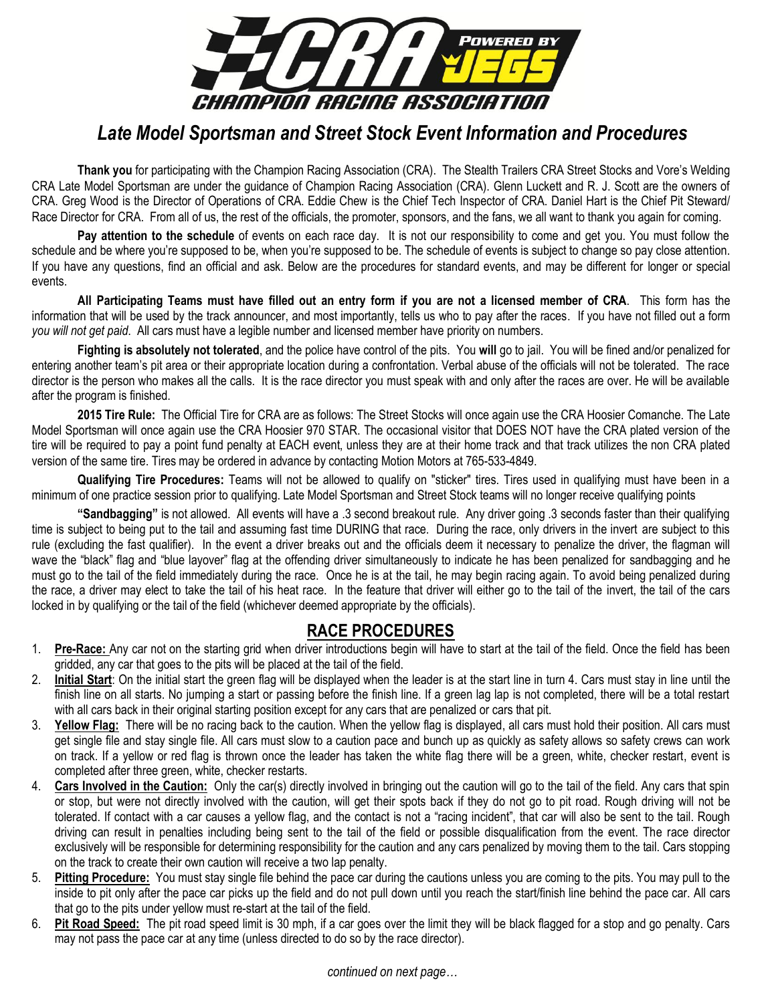

# *Late Model Sportsman and Street Stock Event Information and Procedures*

**Thank you** for participating with the Champion Racing Association (CRA). The Stealth Trailers CRA Street Stocks and Vore's Welding CRA Late Model Sportsman are under the guidance of Champion Racing Association (CRA). Glenn Luckett and R. J. Scott are the owners of CRA. Greg Wood is the Director of Operations of CRA. Eddie Chew is the Chief Tech Inspector of CRA. Daniel Hart is the Chief Pit Steward/ Race Director for CRA. From all of us, the rest of the officials, the promoter, sponsors, and the fans, we all want to thank you again for coming.

**Pay attention to the schedule** of events on each race day. It is not our responsibility to come and get you. You must follow the schedule and be where you're supposed to be, when you're supposed to be. The schedule of events is subject to change so pay close attention. If you have any questions, find an official and ask. Below are the procedures for standard events, and may be different for longer or special events.

**All Participating Teams must have filled out an entry form if you are not a licensed member of CRA**. This form has the information that will be used by the track announcer, and most importantly, tells us who to pay after the races. If you have not filled out a form *you will not get paid*. All cars must have a legible number and licensed member have priority on numbers.

**Fighting is absolutely not tolerated**, and the police have control of the pits. You **will** go to jail. You will be fined and/or penalized for entering another team's pit area or their appropriate location during a confrontation. Verbal abuse of the officials will not be tolerated. The race director is the person who makes all the calls. It is the race director you must speak with and only after the races are over. He will be available after the program is finished.

**2015 Tire Rule:** The Official Tire for CRA are as follows: The Street Stocks will once again use the CRA Hoosier Comanche. The Late Model Sportsman will once again use the CRA Hoosier 970 STAR. The occasional visitor that DOES NOT have the CRA plated version of the tire will be required to pay a point fund penalty at EACH event, unless they are at their home track and that track utilizes the non CRA plated version of the same tire. Tires may be ordered in advance by contacting Motion Motors at 765-533-4849.

**Qualifying Tire Procedures:** Teams will not be allowed to qualify on "sticker" tires. Tires used in qualifying must have been in a minimum of one practice session prior to qualifying. Late Model Sportsman and Street Stock teams will no longer receive qualifying points

**"Sandbagging"** is not allowed. All events will have a .3 second breakout rule. Any driver going .3 seconds faster than their qualifying time is subject to being put to the tail and assuming fast time DURING that race. During the race, only drivers in the invert are subject to this rule (excluding the fast qualifier). In the event a driver breaks out and the officials deem it necessary to penalize the driver, the flagman will wave the "black" flag and "blue layover" flag at the offending driver simultaneously to indicate he has been penalized for sandbagging and he must go to the tail of the field immediately during the race. Once he is at the tail, he may begin racing again. To avoid being penalized during the race, a driver may elect to take the tail of his heat race. In the feature that driver will either go to the tail of the invert, the tail of the cars locked in by qualifying or the tail of the field (whichever deemed appropriate by the officials).

## **RACE PROCEDURES**

- 1. **Pre-Race:** Any car not on the starting grid when driver introductions begin will have to start at the tail of the field. Once the field has been gridded, any car that goes to the pits will be placed at the tail of the field.
- 2. **Initial Start**: On the initial start the green flag will be displayed when the leader is at the start line in turn 4. Cars must stay in line until the finish line on all starts. No jumping a start or passing before the finish line. If a green lag lap is not completed, there will be a total restart with all cars back in their original starting position except for any cars that are penalized or cars that pit.
- 3. **Yellow Flag:** There will be no racing back to the caution. When the yellow flag is displayed, all cars must hold their position. All cars must get single file and stay single file. All cars must slow to a caution pace and bunch up as quickly as safety allows so safety crews can work on track. If a yellow or red flag is thrown once the leader has taken the white flag there will be a green, white, checker restart, event is completed after three green, white, checker restarts.
- 4. **Cars Involved in the Caution:** Only the car(s) directly involved in bringing out the caution will go to the tail of the field. Any cars that spin or stop, but were not directly involved with the caution, will get their spots back if they do not go to pit road. Rough driving will not be tolerated. If contact with a car causes a yellow flag, and the contact is not a "racing incident", that car will also be sent to the tail. Rough driving can result in penalties including being sent to the tail of the field or possible disqualification from the event. The race director exclusively will be responsible for determining responsibility for the caution and any cars penalized by moving them to the tail. Cars stopping on the track to create their own caution will receive a two lap penalty.
- 5. **Pitting Procedure:** You must stay single file behind the pace car during the cautions unless you are coming to the pits. You may pull to the inside to pit only after the pace car picks up the field and do not pull down until you reach the start/finish line behind the pace car. All cars that go to the pits under yellow must re-start at the tail of the field.
- 6. **Pit Road Speed:** The pit road speed limit is 30 mph, if a car goes over the limit they will be black flagged for a stop and go penalty. Cars may not pass the pace car at any time (unless directed to do so by the race director).